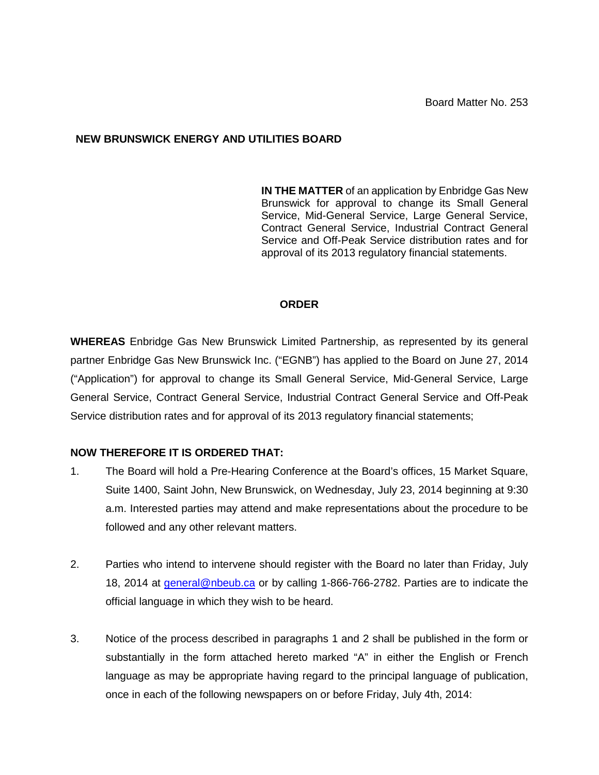## **NEW BRUNSWICK ENERGY AND UTILITIES BOARD**

**IN THE MATTER** of an application by Enbridge Gas New Brunswick for approval to change its Small General Service, Mid-General Service, Large General Service, Contract General Service, Industrial Contract General Service and Off-Peak Service distribution rates and for approval of its 2013 regulatory financial statements.

## **ORDER**

**WHEREAS** Enbridge Gas New Brunswick Limited Partnership, as represented by its general partner Enbridge Gas New Brunswick Inc. ("EGNB") has applied to the Board on June 27, 2014 ("Application") for approval to change its Small General Service, Mid-General Service, Large General Service, Contract General Service, Industrial Contract General Service and Off-Peak Service distribution rates and for approval of its 2013 regulatory financial statements;

## **NOW THEREFORE IT IS ORDERED THAT:**

- 1. The Board will hold a Pre-Hearing Conference at the Board's offices, 15 Market Square, Suite 1400, Saint John, New Brunswick, on Wednesday, July 23, 2014 beginning at 9:30 a.m. Interested parties may attend and make representations about the procedure to be followed and any other relevant matters.
- 2. Parties who intend to intervene should register with the Board no later than Friday, July 18, 2014 at [general@nbeub.ca](mailto:general@nbeub.ca) or by calling 1-866-766-2782. Parties are to indicate the official language in which they wish to be heard.
- 3. Notice of the process described in paragraphs 1 and 2 shall be published in the form or substantially in the form attached hereto marked "A" in either the English or French language as may be appropriate having regard to the principal language of publication, once in each of the following newspapers on or before Friday, July 4th, 2014: